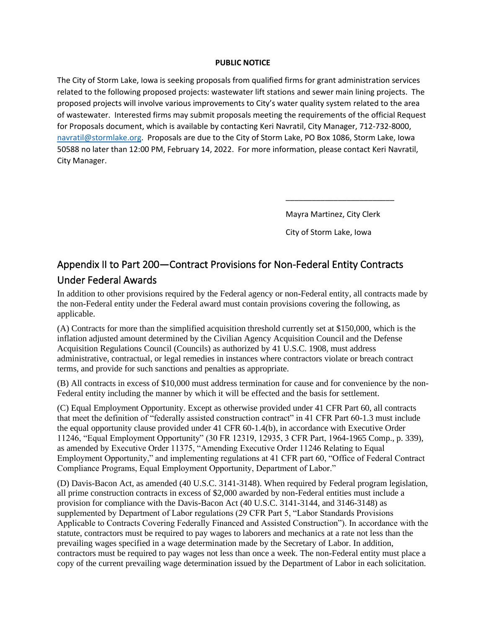## **PUBLIC NOTICE**

The City of Storm Lake, Iowa is seeking proposals from qualified firms for grant administration services related to the following proposed projects: wastewater lift stations and sewer main lining projects. The proposed projects will involve various improvements to City's water quality system related to the area of wastewater. Interested firms may submit proposals meeting the requirements of the official Request for Proposals document, which is available by contacting Keri Navratil, City Manager, 712-732-8000, [navratil@stormlake.org.](mailto:navratil@stormlake.org) Proposals are due to the City of Storm Lake, PO Box 1086, Storm Lake, Iowa 50588 no later than 12:00 PM, February 14, 2022. For more information, please contact Keri Navratil, City Manager.

Mayra Martinez, City Clerk

\_\_\_\_\_\_\_\_\_\_\_\_\_\_\_\_\_\_\_\_\_\_\_\_\_

City of Storm Lake, Iowa

## Appendix II to Part 200—Contract Provisions for Non-Federal Entity Contracts Under Federal Awards

In addition to other provisions required by the Federal agency or non-Federal entity, all contracts made by the non-Federal entity under the Federal award must contain provisions covering the following, as applicable.

(A) Contracts for more than the simplified acquisition threshold currently set at \$150,000, which is the inflation adjusted amount determined by the Civilian Agency Acquisition Council and the Defense Acquisition Regulations Council (Councils) as authorized by 41 U.S.C. 1908, must address administrative, contractual, or legal remedies in instances where contractors violate or breach contract terms, and provide for such sanctions and penalties as appropriate.

(B) All contracts in excess of \$10,000 must address termination for cause and for convenience by the non-Federal entity including the manner by which it will be effected and the basis for settlement.

(C) Equal Employment Opportunity. Except as otherwise provided under 41 CFR Part 60, all contracts that meet the definition of "federally assisted construction contract" in 41 CFR Part 60-1.3 must include the equal opportunity clause provided under 41 CFR 60-1.4(b), in accordance with Executive Order 11246, "Equal Employment Opportunity" (30 FR 12319, 12935, 3 CFR Part, 1964-1965 Comp., p. 339), as amended by Executive Order 11375, "Amending Executive Order 11246 Relating to Equal Employment Opportunity," and implementing regulations at 41 CFR part 60, "Office of Federal Contract Compliance Programs, Equal Employment Opportunity, Department of Labor."

(D) Davis-Bacon Act, as amended (40 U.S.C. 3141-3148). When required by Federal program legislation, all prime construction contracts in excess of \$2,000 awarded by non-Federal entities must include a provision for compliance with the Davis-Bacon Act (40 U.S.C. 3141-3144, and 3146-3148) as supplemented by Department of Labor regulations (29 CFR Part 5, "Labor Standards Provisions Applicable to Contracts Covering Federally Financed and Assisted Construction"). In accordance with the statute, contractors must be required to pay wages to laborers and mechanics at a rate not less than the prevailing wages specified in a wage determination made by the Secretary of Labor. In addition, contractors must be required to pay wages not less than once a week. The non-Federal entity must place a copy of the current prevailing wage determination issued by the Department of Labor in each solicitation.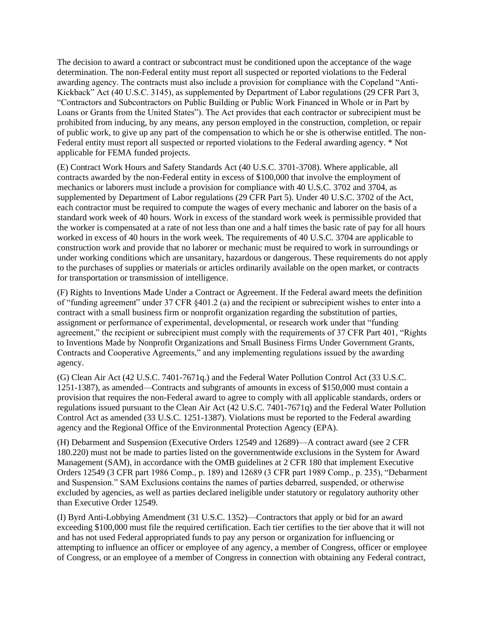The decision to award a contract or subcontract must be conditioned upon the acceptance of the wage determination. The non-Federal entity must report all suspected or reported violations to the Federal awarding agency. The contracts must also include a provision for compliance with the Copeland "Anti-Kickback" Act (40 U.S.C. 3145), as supplemented by Department of Labor regulations (29 CFR Part 3, "Contractors and Subcontractors on Public Building or Public Work Financed in Whole or in Part by Loans or Grants from the United States"). The Act provides that each contractor or subrecipient must be prohibited from inducing, by any means, any person employed in the construction, completion, or repair of public work, to give up any part of the compensation to which he or she is otherwise entitled. The non-Federal entity must report all suspected or reported violations to the Federal awarding agency. \* Not applicable for FEMA funded projects.

(E) Contract Work Hours and Safety Standards Act (40 U.S.C. 3701-3708). Where applicable, all contracts awarded by the non-Federal entity in excess of \$100,000 that involve the employment of mechanics or laborers must include a provision for compliance with 40 U.S.C. 3702 and 3704, as supplemented by Department of Labor regulations (29 CFR Part 5). Under 40 U.S.C. 3702 of the Act, each contractor must be required to compute the wages of every mechanic and laborer on the basis of a standard work week of 40 hours. Work in excess of the standard work week is permissible provided that the worker is compensated at a rate of not less than one and a half times the basic rate of pay for all hours worked in excess of 40 hours in the work week. The requirements of 40 U.S.C. 3704 are applicable to construction work and provide that no laborer or mechanic must be required to work in surroundings or under working conditions which are unsanitary, hazardous or dangerous. These requirements do not apply to the purchases of supplies or materials or articles ordinarily available on the open market, or contracts for transportation or transmission of intelligence.

(F) Rights to Inventions Made Under a Contract or Agreement. If the Federal award meets the definition of "funding agreement" under 37 CFR §401.2 (a) and the recipient or subrecipient wishes to enter into a contract with a small business firm or nonprofit organization regarding the substitution of parties, assignment or performance of experimental, developmental, or research work under that "funding agreement," the recipient or subrecipient must comply with the requirements of 37 CFR Part 401, "Rights to Inventions Made by Nonprofit Organizations and Small Business Firms Under Government Grants, Contracts and Cooperative Agreements," and any implementing regulations issued by the awarding agency.

(G) Clean Air Act (42 U.S.C. 7401-7671q.) and the Federal Water Pollution Control Act (33 U.S.C. 1251-1387), as amended—Contracts and subgrants of amounts in excess of \$150,000 must contain a provision that requires the non-Federal award to agree to comply with all applicable standards, orders or regulations issued pursuant to the Clean Air Act (42 U.S.C. 7401-7671q) and the Federal Water Pollution Control Act as amended (33 U.S.C. 1251-1387). Violations must be reported to the Federal awarding agency and the Regional Office of the Environmental Protection Agency (EPA).

(H) Debarment and Suspension (Executive Orders 12549 and 12689)—A contract award (see 2 CFR 180.220) must not be made to parties listed on the governmentwide exclusions in the System for Award Management (SAM), in accordance with the OMB guidelines at 2 CFR 180 that implement Executive Orders 12549 (3 CFR part 1986 Comp., p. 189) and 12689 (3 CFR part 1989 Comp., p. 235), "Debarment and Suspension." SAM Exclusions contains the names of parties debarred, suspended, or otherwise excluded by agencies, as well as parties declared ineligible under statutory or regulatory authority other than Executive Order 12549.

(I) Byrd Anti-Lobbying Amendment (31 U.S.C. 1352)—Contractors that apply or bid for an award exceeding \$100,000 must file the required certification. Each tier certifies to the tier above that it will not and has not used Federal appropriated funds to pay any person or organization for influencing or attempting to influence an officer or employee of any agency, a member of Congress, officer or employee of Congress, or an employee of a member of Congress in connection with obtaining any Federal contract,